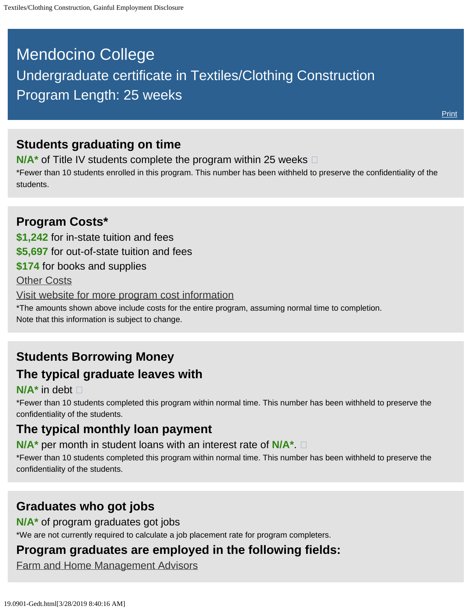# <span id="page-0-0"></span>Mendocino College Undergraduate certificate in Textiles/Clothing Construction Program Length: 25 weeks

### **Students graduating on time**

**N/A<sup>\*</sup>** of Title IV students complete the program within 25 weeks  $\Box$ 

\*Fewer than 10 students enrolled in this program. This number has been withheld to preserve the confidentiality of the students.

### **Program Costs\* \$1,242** for in-state tuition and fees **\$5,697** for out-of-state tuition and fees **\$174** for books and supplies [Other Costs](#page-0-0) [Visit website for more program cost information](https://www.mendocino.edu/program/textiles-clothing-construction) \*The amounts shown above include costs for the entire program, assuming normal time to completion. Note that this information is subject to change.

### **Students Borrowing Money The typical graduate leaves with**

#### **N/A\*** in debt

\*Fewer than 10 students completed this program within normal time. This number has been withheld to preserve the confidentiality of the students.

# **The typical monthly loan payment**

**N/A\*** per month in student loans with an interest rate of **N/A\***.

\*Fewer than 10 students completed this program within normal time. This number has been withheld to preserve the confidentiality of the students.

# **Graduates who got jobs**

**N/A\*** of program graduates got jobs

\*We are not currently required to calculate a job placement rate for program completers.

# **Program graduates are employed in the following fields:**

[Farm and Home Management Advisors](http://online.onetcenter.org/link/summary/25-9021.00)